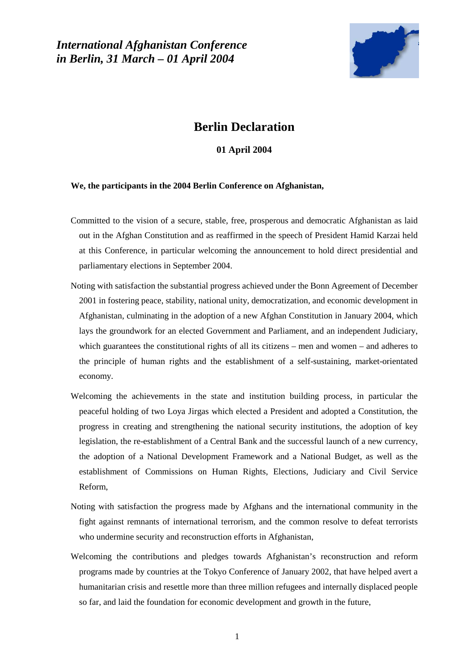*International Afghanistan Conference in Berlin, 31 March – 01 April 2004* 



# **Berlin Declaration**

## **01 April 2004**

#### **We, the participants in the 2004 Berlin Conference on Afghanistan,**

- Committed to the vision of a secure, stable, free, prosperous and democratic Afghanistan as laid out in the Afghan Constitution and as reaffirmed in the speech of President Hamid Karzai held at this Conference, in particular welcoming the announcement to hold direct presidential and parliamentary elections in September 2004.
- Noting with satisfaction the substantial progress achieved under the Bonn Agreement of December 2001 in fostering peace, stability, national unity, democratization, and economic development in Afghanistan, culminating in the adoption of a new Afghan Constitution in January 2004, which lays the groundwork for an elected Government and Parliament, and an independent Judiciary, which guarantees the constitutional rights of all its citizens – men and women – and adheres to the principle of human rights and the establishment of a self-sustaining, market-orientated economy.
- Welcoming the achievements in the state and institution building process, in particular the peaceful holding of two Loya Jirgas which elected a President and adopted a Constitution, the progress in creating and strengthening the national security institutions, the adoption of key legislation, the re-establishment of a Central Bank and the successful launch of a new currency, the adoption of a National Development Framework and a National Budget, as well as the establishment of Commissions on Human Rights, Elections, Judiciary and Civil Service Reform,
- Noting with satisfaction the progress made by Afghans and the international community in the fight against remnants of international terrorism, and the common resolve to defeat terrorists who undermine security and reconstruction efforts in Afghanistan,
- Welcoming the contributions and pledges towards Afghanistan's reconstruction and reform programs made by countries at the Tokyo Conference of January 2002, that have helped avert a humanitarian crisis and resettle more than three million refugees and internally displaced people so far, and laid the foundation for economic development and growth in the future,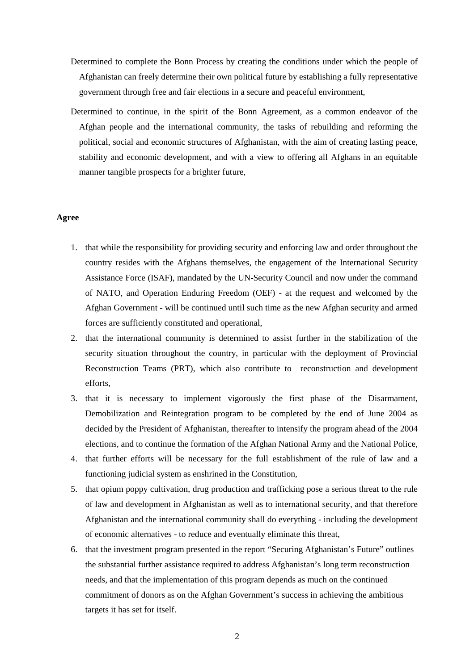- Determined to complete the Bonn Process by creating the conditions under which the people of Afghanistan can freely determine their own political future by establishing a fully representative government through free and fair elections in a secure and peaceful environment,
- Determined to continue, in the spirit of the Bonn Agreement, as a common endeavor of the Afghan people and the international community, the tasks of rebuilding and reforming the political, social and economic structures of Afghanistan, with the aim of creating lasting peace, stability and economic development, and with a view to offering all Afghans in an equitable manner tangible prospects for a brighter future,

### **Agree**

- 1. that while the responsibility for providing security and enforcing law and order throughout the country resides with the Afghans themselves, the engagement of the International Security Assistance Force (ISAF), mandated by the UN-Security Council and now under the command of NATO, and Operation Enduring Freedom (OEF) - at the request and welcomed by the Afghan Government - will be continued until such time as the new Afghan security and armed forces are sufficiently constituted and operational,
- 2. that the international community is determined to assist further in the stabilization of the security situation throughout the country, in particular with the deployment of Provincial Reconstruction Teams (PRT), which also contribute to reconstruction and development efforts,
- 3. that it is necessary to implement vigorously the first phase of the Disarmament, Demobilization and Reintegration program to be completed by the end of June 2004 as decided by the President of Afghanistan, thereafter to intensify the program ahead of the 2004 elections, and to continue the formation of the Afghan National Army and the National Police,
- 4. that further efforts will be necessary for the full establishment of the rule of law and a functioning judicial system as enshrined in the Constitution,
- 5. that opium poppy cultivation, drug production and trafficking pose a serious threat to the rule of law and development in Afghanistan as well as to international security, and that therefore Afghanistan and the international community shall do everything - including the development of economic alternatives - to reduce and eventually eliminate this threat,
- 6. that the investment program presented in the report "Securing Afghanistan's Future" outlines the substantial further assistance required to address Afghanistan's long term reconstruction needs, and that the implementation of this program depends as much on the continued commitment of donors as on the Afghan Government's success in achieving the ambitious targets it has set for itself.